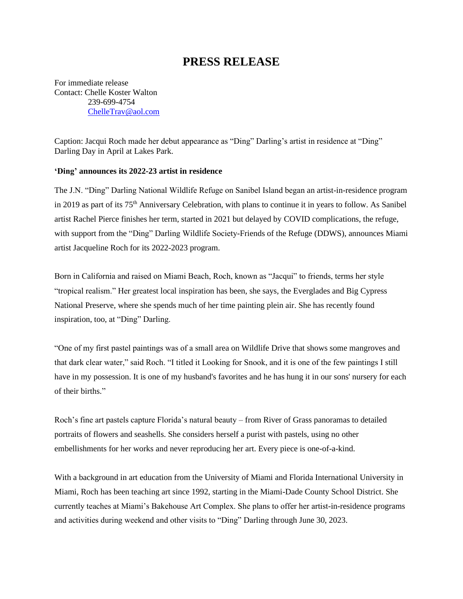## **PRESS RELEASE**

For immediate release Contact: Chelle Koster Walton 239-699-4754 [ChelleTrav@aol.com](mailto:ChelleTrav@aol.com)

Caption: Jacqui Roch made her debut appearance as "Ding" Darling's artist in residence at "Ding" Darling Day in April at Lakes Park.

## **'Ding' announces its 2022-23 artist in residence**

The J.N. "Ding" Darling National Wildlife Refuge on Sanibel Island began an artist-in-residence program in 2019 as part of its 75<sup>th</sup> Anniversary Celebration, with plans to continue it in years to follow. As Sanibel artist Rachel Pierce finishes her term, started in 2021 but delayed by COVID complications, the refuge, with support from the "Ding" Darling Wildlife Society-Friends of the Refuge (DDWS), announces Miami artist Jacqueline Roch for its 2022-2023 program.

Born in California and raised on Miami Beach, Roch, known as "Jacqui" to friends, terms her style "tropical realism." Her greatest local inspiration has been, she says, the Everglades and Big Cypress National Preserve, where she spends much of her time painting plein air. She has recently found inspiration, too, at "Ding" Darling.

"One of my first pastel paintings was of a small area on Wildlife Drive that shows some mangroves and that dark clear water," said Roch. "I titled it Looking for Snook, and it is one of the few paintings I still have in my possession. It is one of my husband's favorites and he has hung it in our sons' nursery for each of their births."

Roch's fine art pastels capture Florida's natural beauty – from River of Grass panoramas to detailed portraits of flowers and seashells. She considers herself a purist with pastels, using no other embellishments for her works and never reproducing her art. Every piece is one-of-a-kind.

With a background in art education from the University of Miami and Florida International University in Miami, Roch has been teaching art since 1992, starting in the Miami-Dade County School District. She currently teaches at Miami's Bakehouse Art Complex. She plans to offer her artist-in-residence programs and activities during weekend and other visits to "Ding" Darling through June 30, 2023.